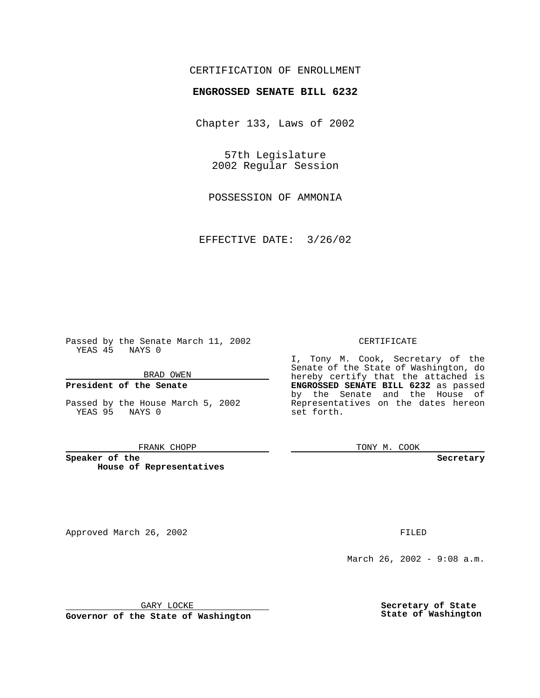## CERTIFICATION OF ENROLLMENT

# **ENGROSSED SENATE BILL 6232**

Chapter 133, Laws of 2002

57th Legislature 2002 Regular Session

POSSESSION OF AMMONIA

EFFECTIVE DATE: 3/26/02

Passed by the Senate March 11, 2002 YEAS 45 NAYS 0

BRAD OWEN

### **President of the Senate**

Passed by the House March 5, 2002 YEAS 95 NAYS 0

#### FRANK CHOPP

**Speaker of the House of Representatives**

Approved March 26, 2002 **FILED** 

#### CERTIFICATE

I, Tony M. Cook, Secretary of the Senate of the State of Washington, do hereby certify that the attached is **ENGROSSED SENATE BILL 6232** as passed by the Senate and the House of Representatives on the dates hereon set forth.

TONY M. COOK

**Secretary**

March 26, 2002 - 9:08 a.m.

GARY LOCKE

**Governor of the State of Washington**

**Secretary of State State of Washington**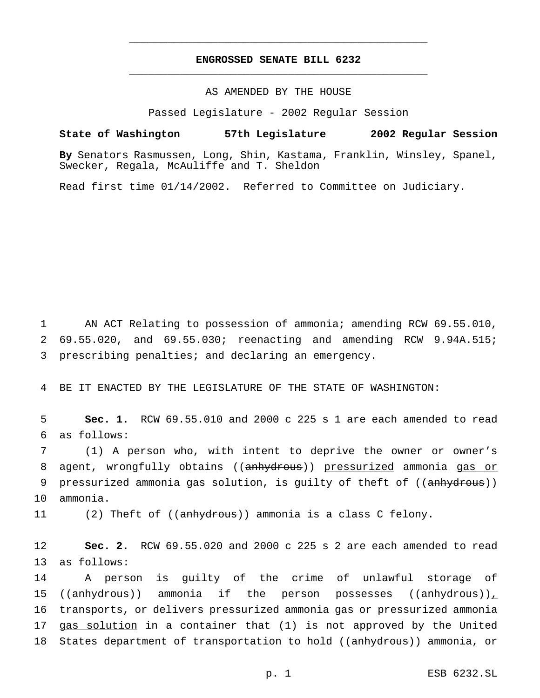## **ENGROSSED SENATE BILL 6232** \_\_\_\_\_\_\_\_\_\_\_\_\_\_\_\_\_\_\_\_\_\_\_\_\_\_\_\_\_\_\_\_\_\_\_\_\_\_\_\_\_\_\_\_\_\_\_

\_\_\_\_\_\_\_\_\_\_\_\_\_\_\_\_\_\_\_\_\_\_\_\_\_\_\_\_\_\_\_\_\_\_\_\_\_\_\_\_\_\_\_\_\_\_\_

### AS AMENDED BY THE HOUSE

Passed Legislature - 2002 Regular Session

#### **State of Washington 57th Legislature 2002 Regular Session**

**By** Senators Rasmussen, Long, Shin, Kastama, Franklin, Winsley, Spanel, Swecker, Regala, McAuliffe and T. Sheldon

Read first time 01/14/2002. Referred to Committee on Judiciary.

1 AN ACT Relating to possession of ammonia; amending RCW 69.55.010, 2 69.55.020, and 69.55.030; reenacting and amending RCW 9.94A.515; 3 prescribing penalties; and declaring an emergency.

4 BE IT ENACTED BY THE LEGISLATURE OF THE STATE OF WASHINGTON:

5 **Sec. 1.** RCW 69.55.010 and 2000 c 225 s 1 are each amended to read 6 as follows:

7 (1) A person who, with intent to deprive the owner or owner's 8 agent, wrongfully obtains ((anhydrous)) pressurized ammonia gas or 9 pressurized ammonia gas solution, is guilty of theft of ((anhydrous)) 10 ammonia.

11 (2) Theft of ((anhydrous)) ammonia is a class C felony.

12 **Sec. 2.** RCW 69.55.020 and 2000 c 225 s 2 are each amended to read 13 as follows:

14 A person is guilty of the crime of unlawful storage of 15 ((anhydrous)) ammonia if the person possesses ((anhydrous))<sub>+</sub> 16 transports, or delivers pressurized ammonia gas or pressurized ammonia 17 gas solution in a container that (1) is not approved by the United 18 States department of transportation to hold ((anhydrous)) ammonia, or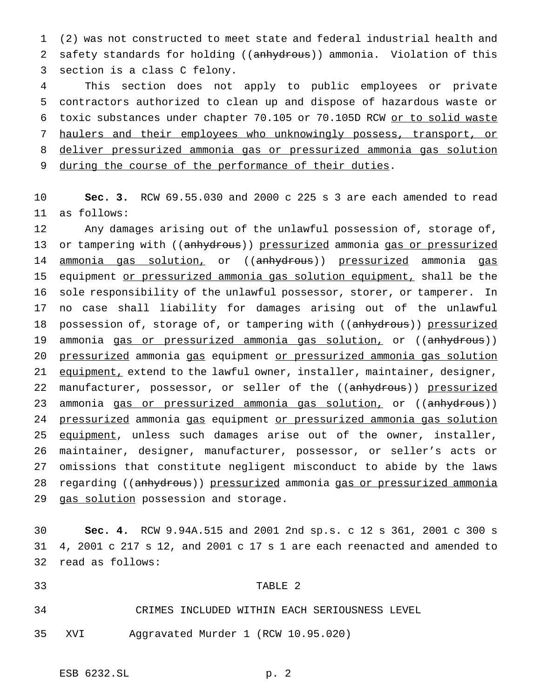1 (2) was not constructed to meet state and federal industrial health and 2 safety standards for holding ((anhydrous)) ammonia. Violation of this 3 section is a class C felony.

 This section does not apply to public employees or private contractors authorized to clean up and dispose of hazardous waste or 6 toxic substances under chapter 70.105 or 70.105D RCW or to solid waste haulers and their employees who unknowingly possess, transport, or deliver pressurized ammonia gas or pressurized ammonia gas solution during the course of the performance of their duties.

10 **Sec. 3.** RCW 69.55.030 and 2000 c 225 s 3 are each amended to read 11 as follows:

12 Any damages arising out of the unlawful possession of, storage of, 13 or tampering with ((anhydrous)) pressurized ammonia gas or pressurized 14 ammonia gas solution, or ((anhydrous)) pressurized ammonia gas 15 equipment or pressurized ammonia gas solution equipment, shall be the 16 sole responsibility of the unlawful possessor, storer, or tamperer. In 17 no case shall liability for damages arising out of the unlawful 18 possession of, storage of, or tampering with ((anhydrous)) pressurized 19 ammonia gas or pressurized ammonia gas solution, or ((anhydrous)) 20 pressurized ammonia gas equipment or pressurized ammonia gas solution 21 equipment, extend to the lawful owner, installer, maintainer, designer, 22 manufacturer, possessor, or seller of the ((anhydrous)) pressurized 23 ammonia gas or pressurized ammonia gas solution, or ((anhydrous)) 24 pressurized ammonia gas equipment or pressurized ammonia gas solution 25 equipment, unless such damages arise out of the owner, installer, 26 maintainer, designer, manufacturer, possessor, or seller's acts or 27 omissions that constitute negligent misconduct to abide by the laws 28 regarding ((anhydrous)) pressurized ammonia gas or pressurized ammonia 29 gas solution possession and storage.

30 **Sec. 4.** RCW 9.94A.515 and 2001 2nd sp.s. c 12 s 361, 2001 c 300 s 31 4, 2001 c 217 s 12, and 2001 c 17 s 1 are each reenacted and amended to 32 read as follows:

## 33 TABLE 2

34 CRIMES INCLUDED WITHIN EACH SERIOUSNESS LEVEL

35 XVI Aggravated Murder 1 (RCW 10.95.020)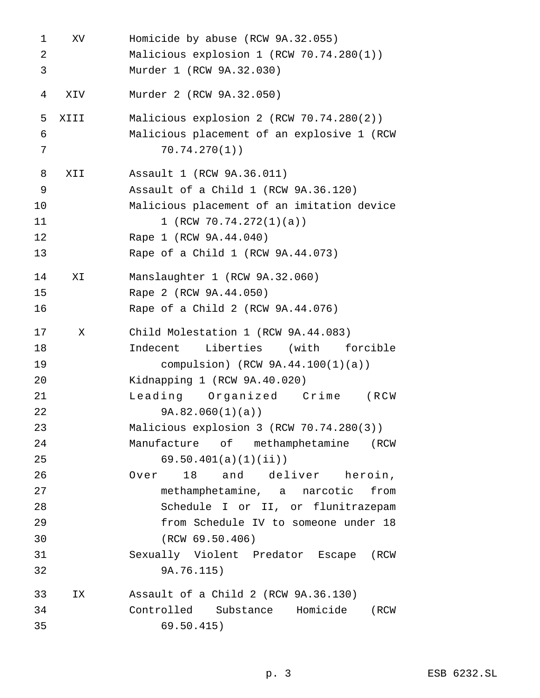| 1  | XV   | Homicide by abuse (RCW 9A.32.055)          |
|----|------|--------------------------------------------|
| 2  |      | Malicious explosion 1 (RCW 70.74.280(1))   |
| 3  |      | Murder 1 (RCW 9A.32.030)                   |
| 4  | ХIV  | Murder 2 (RCW 9A.32.050)                   |
| 5  | XIII | Malicious explosion 2 (RCW 70.74.280(2))   |
| 6  |      | Malicious placement of an explosive 1 (RCW |
| 7  |      | 70.74.270(1)                               |
| 8  | XII  | Assault 1 (RCW 9A.36.011)                  |
| 9  |      | Assault of a Child 1 (RCW 9A.36.120)       |
| 10 |      | Malicious placement of an imitation device |
| 11 |      | 1 (RCW $70.74.272(1)(a)$ )                 |
| 12 |      | Rape 1 (RCW 9A.44.040)                     |
| 13 |      | Rape of a Child 1 (RCW 9A.44.073)          |
| 14 | ΧI   | Manslaughter 1 (RCW 9A.32.060)             |
| 15 |      | Rape 2 (RCW 9A.44.050)                     |
| 16 |      | Rape of a Child 2 (RCW 9A.44.076)          |
| 17 | X    | Child Molestation 1 (RCW 9A.44.083)        |
| 18 |      | Indecent<br>Liberties<br>(with<br>forcible |
| 19 |      | compulsion) (RCW $9A.44.100(1)(a)$ )       |
| 20 |      | Kidnapping 1 (RCW 9A.40.020)               |
| 21 |      | Leading Organized Crime<br>(RCW            |
| 22 |      | 9A.82.060(1)(a)                            |
| 23 |      | Malicious explosion 3 (RCW 70.74.280(3))   |
| 24 |      | Manufacture of methamphetamine (RCW        |
| 25 |      | 69.50.401(a)(1)(ii)                        |
| 26 |      | 18 and deliver heroin,<br>Over             |
| 27 |      | methamphetamine, a narcotic from           |
| 28 |      | Schedule I or II, or flunitrazepam         |
| 29 |      | from Schedule IV to someone under 18       |
| 30 |      | (RCW 69.50.406)                            |
| 31 |      | Sexually Violent Predator Escape (RCW      |
| 32 |      | 9A.76.115)                                 |
| 33 | IX   | Assault of a Child 2 (RCW 9A.36.130)       |
| 34 |      | Controlled Substance Homicide (RCW         |
| 35 |      | 69.50.415)                                 |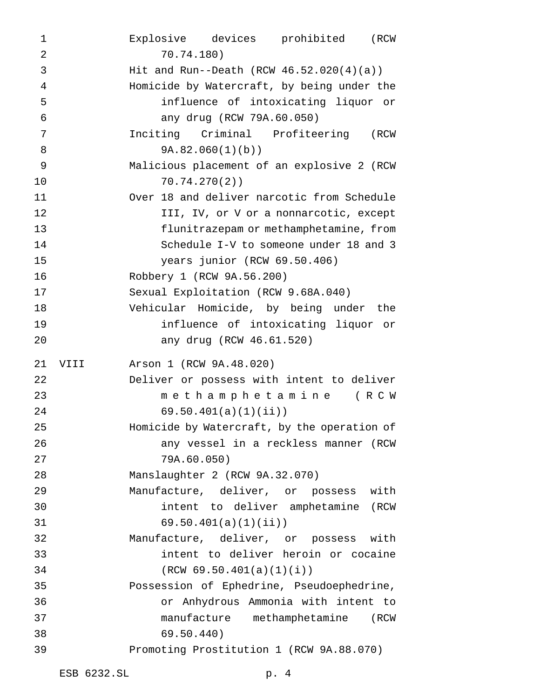Explosive devices prohibited (RCW 70.74.180) Hit and Run--Death (RCW 46.52.020(4)(a)) Homicide by Watercraft, by being under the influence of intoxicating liquor or any drug (RCW 79A.60.050) Inciting Criminal Profiteering (RCW 9A.82.060(1)(b)) Malicious placement of an explosive 2 (RCW 70.74.270(2)) Over 18 and deliver narcotic from Schedule **III, IV, or V or a nonnarcotic, except**  flunitrazepam or methamphetamine, from Schedule I-V to someone under 18 and 3 years junior (RCW 69.50.406) Robbery 1 (RCW 9A.56.200) Sexual Exploitation (RCW 9.68A.040) Vehicular Homicide, by being under the influence of intoxicating liquor or any drug (RCW 46.61.520) VIII Arson 1 (RCW 9A.48.020) Deliver or possess with intent to deliver methamphetamine (RCW 69.50.401(a)(1)(ii)) Homicide by Watercraft, by the operation of any vessel in a reckless manner (RCW 79A.60.050) Manslaughter 2 (RCW 9A.32.070) Manufacture, deliver, or possess with intent to deliver amphetamine (RCW 69.50.401(a)(1)(ii)) Manufacture, deliver, or possess with intent to deliver heroin or cocaine (RCW 69.50.401(a)(1)(i)) Possession of Ephedrine, Pseudoephedrine, or Anhydrous Ammonia with intent to manufacture methamphetamine (RCW 69.50.440) Promoting Prostitution 1 (RCW 9A.88.070)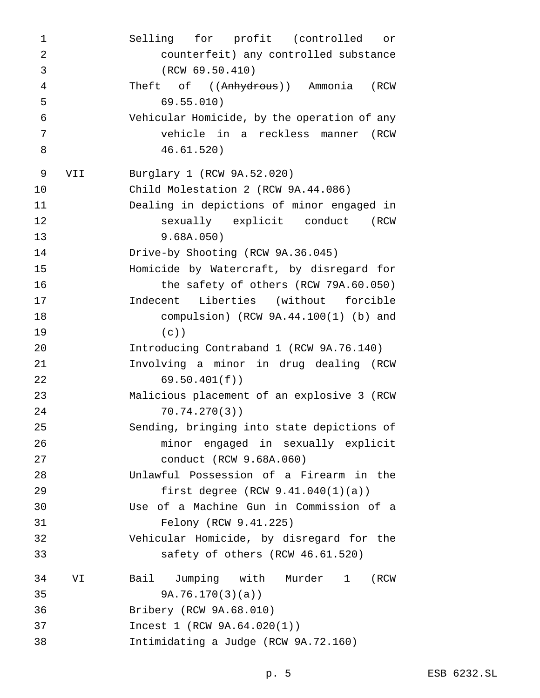Selling for profit (controlled or counterfeit) any controlled substance (RCW 69.50.410) 4 Theft of ((Anhydrous)) Ammonia (RCW 69.55.010) Vehicular Homicide, by the operation of any vehicle in a reckless manner (RCW 46.61.520) VII Burglary 1 (RCW 9A.52.020) Child Molestation 2 (RCW 9A.44.086) Dealing in depictions of minor engaged in sexually explicit conduct (RCW 9.68A.050) Drive-by Shooting (RCW 9A.36.045) Homicide by Watercraft, by disregard for the safety of others (RCW 79A.60.050) Indecent Liberties (without forcible compulsion) (RCW 9A.44.100(1) (b) and (c)) Introducing Contraband 1 (RCW 9A.76.140) Involving a minor in drug dealing (RCW 69.50.401(f)) Malicious placement of an explosive 3 (RCW 70.74.270(3)) Sending, bringing into state depictions of minor engaged in sexually explicit conduct (RCW 9.68A.060) Unlawful Possession of a Firearm in the first degree (RCW 9.41.040(1)(a)) Use of a Machine Gun in Commission of a Felony (RCW 9.41.225) Vehicular Homicide, by disregard for the safety of others (RCW 46.61.520) VI Bail Jumping with Murder 1 (RCW 9A.76.170(3)(a)) Bribery (RCW 9A.68.010) Incest 1 (RCW 9A.64.020(1)) Intimidating a Judge (RCW 9A.72.160)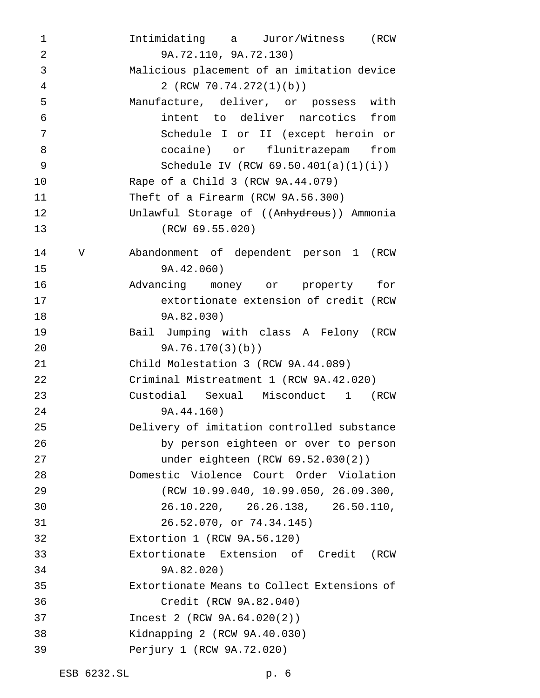Intimidating a Juror/Witness (RCW 9A.72.110, 9A.72.130) Malicious placement of an imitation device 2 (RCW 70.74.272(1)(b)) Manufacture, deliver, or possess with intent to deliver narcotics from Schedule I or II (except heroin or cocaine) or flunitrazepam from Schedule IV (RCW 69.50.401(a)(1)(i)) Rape of a Child 3 (RCW 9A.44.079) Theft of a Firearm (RCW 9A.56.300) 12 Unlawful Storage of ((Anhydrous)) Ammonia (RCW 69.55.020) V Abandonment of dependent person 1 (RCW 9A.42.060) Advancing money or property for extortionate extension of credit (RCW 9A.82.030) Bail Jumping with class A Felony (RCW 9A.76.170(3)(b)) Child Molestation 3 (RCW 9A.44.089) Criminal Mistreatment 1 (RCW 9A.42.020) Custodial Sexual Misconduct 1 (RCW 9A.44.160) Delivery of imitation controlled substance by person eighteen or over to person under eighteen (RCW 69.52.030(2)) Domestic Violence Court Order Violation (RCW 10.99.040, 10.99.050, 26.09.300, 26.10.220, 26.26.138, 26.50.110, 26.52.070, or 74.34.145) Extortion 1 (RCW 9A.56.120) Extortionate Extension of Credit (RCW 9A.82.020) Extortionate Means to Collect Extensions of Credit (RCW 9A.82.040) Incest 2 (RCW 9A.64.020(2)) Kidnapping 2 (RCW 9A.40.030) Perjury 1 (RCW 9A.72.020)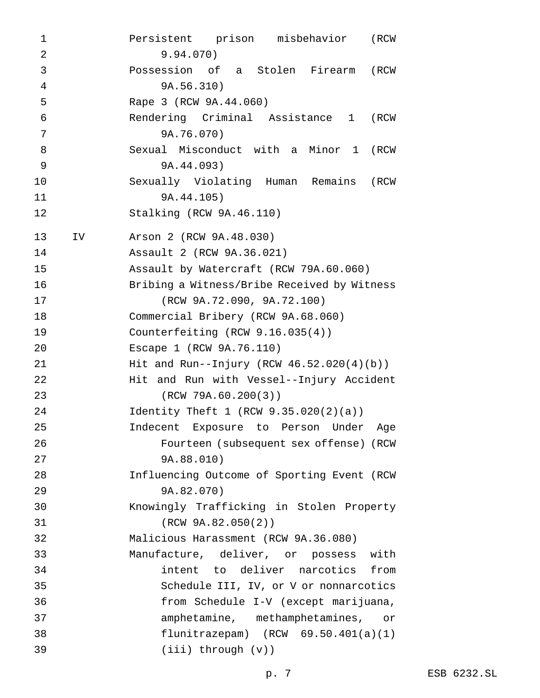Persistent prison misbehavior (RCW 9.94.070) Possession of a Stolen Firearm (RCW 9A.56.310) Rape 3 (RCW 9A.44.060) Rendering Criminal Assistance 1 (RCW 9A.76.070) Sexual Misconduct with a Minor 1 (RCW 9A.44.093) Sexually Violating Human Remains (RCW 9A.44.105) Stalking (RCW 9A.46.110) IV Arson 2 (RCW 9A.48.030) Assault 2 (RCW 9A.36.021) Assault by Watercraft (RCW 79A.60.060) Bribing a Witness/Bribe Received by Witness (RCW 9A.72.090, 9A.72.100) Commercial Bribery (RCW 9A.68.060) Counterfeiting (RCW 9.16.035(4)) Escape 1 (RCW 9A.76.110) Hit and Run--Injury (RCW 46.52.020(4)(b)) Hit and Run with Vessel--Injury Accident (RCW 79A.60.200(3)) Identity Theft 1 (RCW 9.35.020(2)(a)) Indecent Exposure to Person Under Age Fourteen (subsequent sex offense) (RCW 9A.88.010) Influencing Outcome of Sporting Event (RCW 9A.82.070) Knowingly Trafficking in Stolen Property (RCW 9A.82.050(2)) Malicious Harassment (RCW 9A.36.080) Manufacture, deliver, or possess with intent to deliver narcotics from Schedule III, IV, or V or nonnarcotics from Schedule I-V (except marijuana, amphetamine, methamphetamines, or flunitrazepam) (RCW 69.50.401(a)(1) (iii) through (v))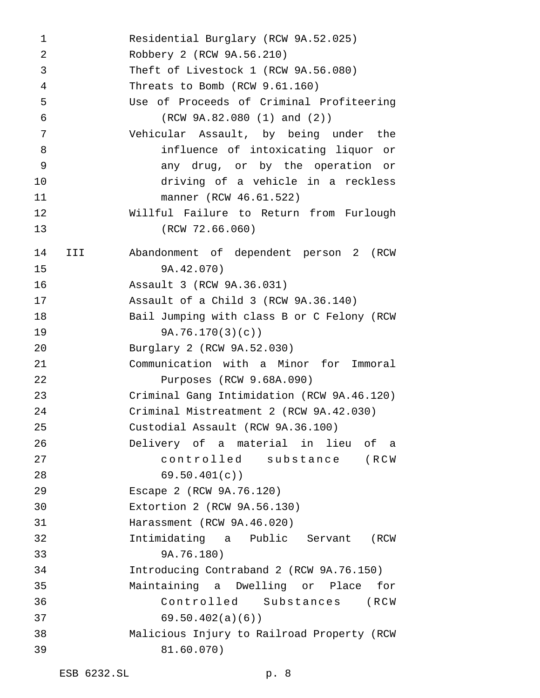Residential Burglary (RCW 9A.52.025) Robbery 2 (RCW 9A.56.210) Theft of Livestock 1 (RCW 9A.56.080) Threats to Bomb (RCW 9.61.160) Use of Proceeds of Criminal Profiteering (RCW 9A.82.080 (1) and (2)) Vehicular Assault, by being under the influence of intoxicating liquor or any drug, or by the operation or driving of a vehicle in a reckless manner (RCW 46.61.522) Willful Failure to Return from Furlough (RCW 72.66.060) III Abandonment of dependent person 2 (RCW 9A.42.070) Assault 3 (RCW 9A.36.031) Assault of a Child 3 (RCW 9A.36.140) Bail Jumping with class B or C Felony (RCW 9A.76.170(3)(c)) Burglary 2 (RCW 9A.52.030) Communication with a Minor for Immoral Purposes (RCW 9.68A.090) Criminal Gang Intimidation (RCW 9A.46.120) Criminal Mistreatment 2 (RCW 9A.42.030) Custodial Assault (RCW 9A.36.100) Delivery of a material in lieu of a controlled substance (RCW 28 69.50.401(c)) Escape 2 (RCW 9A.76.120) Extortion 2 (RCW 9A.56.130) Harassment (RCW 9A.46.020) Intimidating a Public Servant (RCW 9A.76.180) Introducing Contraband 2 (RCW 9A.76.150) Maintaining a Dwelling or Place for Controlled Substances (RCW 69.50.402(a)(6)) Malicious Injury to Railroad Property (RCW 81.60.070)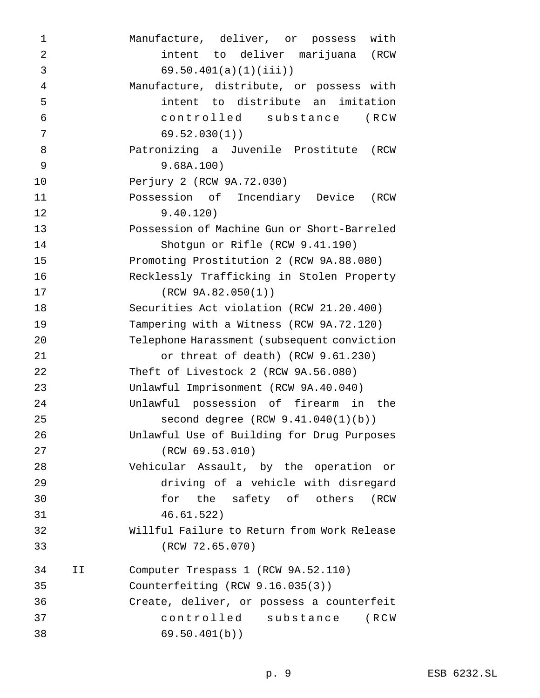| 1              |    | Manufacture, deliver, or possess with       |
|----------------|----|---------------------------------------------|
| $\overline{2}$ |    | intent to deliver marijuana (RCW            |
| 3              |    | $69.50.401(a)(1)(iii)$ )                    |
| $\overline{4}$ |    | Manufacture, distribute, or possess with    |
| 5              |    | intent to distribute an imitation           |
| $\overline{6}$ |    | controlled substance<br>(RCW                |
| 7              |    | 69.52.030(1)                                |
| 8              |    | Patronizing a Juvenile Prostitute (RCW      |
| 9              |    | 9.68A.100)                                  |
| 10             |    | Perjury 2 (RCW 9A.72.030)                   |
| 11             |    | Possession of Incendiary Device (RCW        |
| 12             |    | 9.40.120)                                   |
| 13             |    | Possession of Machine Gun or Short-Barreled |
| 14             |    | Shotgun or Rifle (RCW 9.41.190)             |
| 15             |    | Promoting Prostitution 2 (RCW 9A.88.080)    |
| 16             |    | Recklessly Trafficking in Stolen Property   |
| 17             |    | (RCW 9A.82.050(1))                          |
| 18             |    | Securities Act violation (RCW 21.20.400)    |
| 19             |    | Tampering with a Witness (RCW 9A.72.120)    |
| 20             |    | Telephone Harassment (subsequent conviction |
| 21             |    | or threat of death) (RCW 9.61.230)          |
| 22             |    | Theft of Livestock 2 (RCW 9A.56.080)        |
| 23             |    | Unlawful Imprisonment (RCW 9A.40.040)       |
| 24             |    | Unlawful possession of firearm in the       |
| 25             |    | second degree (RCW 9.41.040(1)(b))          |
| 26             |    | Unlawful Use of Building for Drug Purposes  |
| 27             |    | (RCW 69.53.010)                             |
| 28             |    | Vehicular Assault, by the operation or      |
| 29             |    | driving of a vehicle with disregard         |
| 30             |    | for the safety of others (RCW               |
| 31             |    | 46.61.522)                                  |
| 32             |    | Willful Failure to Return from Work Release |
| 33             |    | (RCW 72.65.070)                             |
| 34             | ΙI | Computer Trespass 1 (RCW 9A.52.110)         |
| 35             |    | Counterfeiting $(RCW 9.16.035(3))$          |
| 36             |    | Create, deliver, or possess a counterfeit   |
| 37             |    | controlled substance<br>(RCW                |
| 38             |    | 69.50.401(b)                                |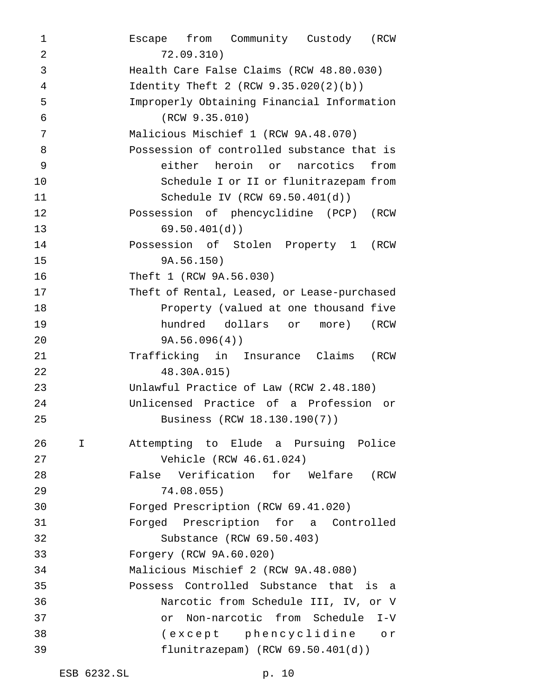Escape from Community Custody (RCW 72.09.310) Health Care False Claims (RCW 48.80.030) Identity Theft 2 (RCW 9.35.020(2)(b)) Improperly Obtaining Financial Information (RCW 9.35.010) Malicious Mischief 1 (RCW 9A.48.070) Possession of controlled substance that is either heroin or narcotics from Schedule I or II or flunitrazepam from Schedule IV (RCW 69.50.401(d)) Possession of phencyclidine (PCP) (RCW 69.50.401(d)) Possession of Stolen Property 1 (RCW 9A.56.150) Theft 1 (RCW 9A.56.030) Theft of Rental, Leased, or Lease-purchased Property (valued at one thousand five hundred dollars or more) (RCW 9A.56.096(4)) Trafficking in Insurance Claims (RCW 48.30A.015) Unlawful Practice of Law (RCW 2.48.180) Unlicensed Practice of a Profession or Business (RCW 18.130.190(7)) I Attempting to Elude a Pursuing Police Vehicle (RCW 46.61.024) False Verification for Welfare (RCW 74.08.055) Forged Prescription (RCW 69.41.020) Forged Prescription for a Controlled Substance (RCW 69.50.403) Forgery (RCW 9A.60.020) Malicious Mischief 2 (RCW 9A.48.080) Possess Controlled Substance that is a Narcotic from Schedule III, IV, or V or Non-narcotic from Schedule I-V (except phencyclidine or flunitrazepam) (RCW 69.50.401(d))